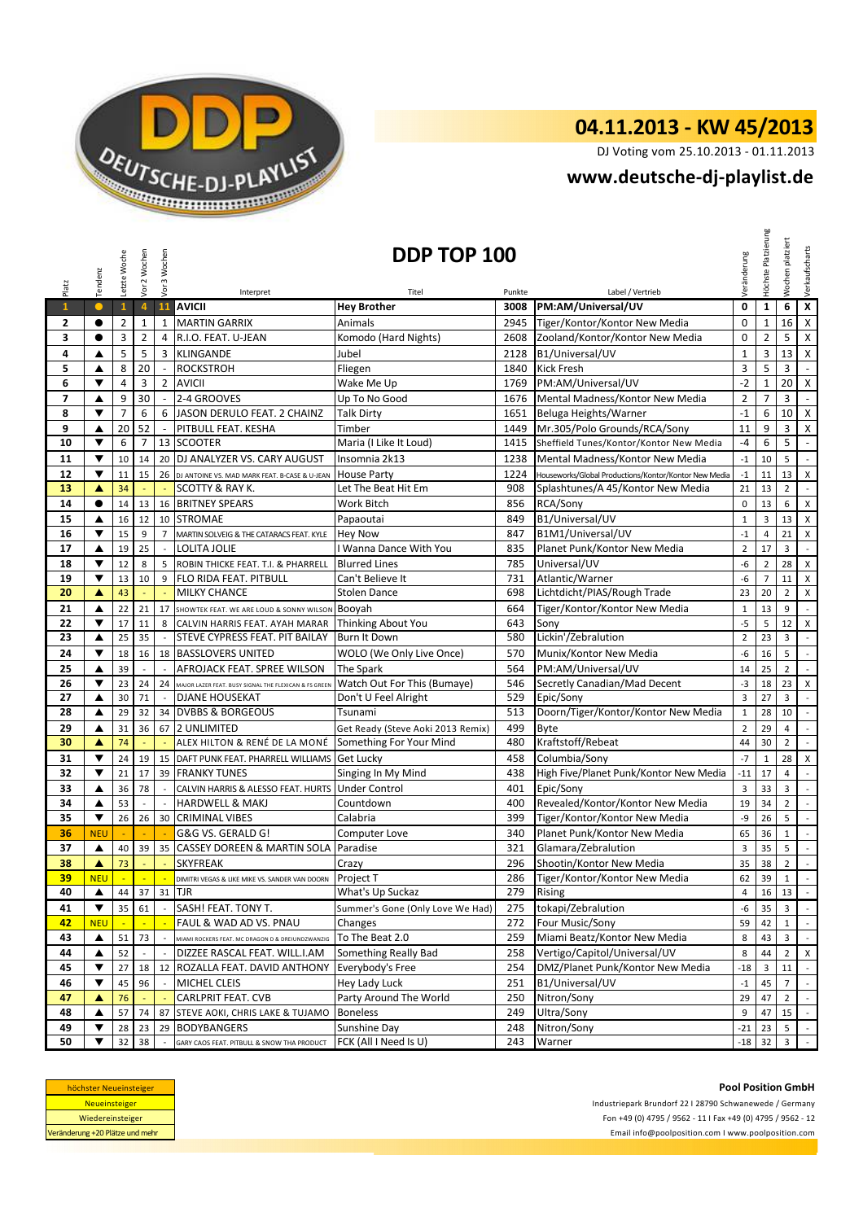

# **04.11.2013 - KW 45/2013**

DJ Voting vom 25.10.2013 - 01.11.2013

### **<www.deutsche-dj-playlist.de>**

| Platz                    | Tendenz                 | Letzte Woche   | Vor 2 Wochen               | Vor 3 Wochen             | Interpret                                             | DDP TOP 100<br>Titel              | Punkte | Label / Vertrieb                                      | Veränderung             | Höchste Platzierung | platziert<br>Wochen | Verkaufscharts              |
|--------------------------|-------------------------|----------------|----------------------------|--------------------------|-------------------------------------------------------|-----------------------------------|--------|-------------------------------------------------------|-------------------------|---------------------|---------------------|-----------------------------|
| $\mathbf{1}$             | $\bullet$               | $\mathbf{1}$   | $\overline{4}$             | 11                       | <b>AVICII</b>                                         | <b>Hey Brother</b>                | 3008   | PM:AM/Universal/UV                                    | $\mathbf 0$             | $\mathbf{1}$        | 6                   | $\pmb{\mathsf{x}}$          |
| 2                        | $\bullet$               | $\overline{2}$ | 1                          | $\mathbf{1}$             | <b>MARTIN GARRIX</b>                                  | Animals                           | 2945   | Tiger/Kontor/Kontor New Media                         | $\mathbf{0}$            | $1\,$               | 16                  | $\mathsf X$                 |
| 3                        | $\bullet$               | 3              | $\overline{2}$             | $\overline{4}$           | R.I.O. FEAT. U-JEAN                                   | Komodo (Hard Nights)              | 2608   | Zooland/Kontor/Kontor New Media                       | $\pmb{0}$               | $\overline{2}$      | 5                   | X                           |
| 4                        | ▲                       | 5              | 5                          | 3                        | <b>KLINGANDE</b>                                      | Jubel                             | 2128   | B1/Universal/UV                                       | $\mathbf{1}$            | 3                   | 13                  | $\pmb{\mathsf{X}}$          |
| 5                        | ▲                       | 8              | 20                         | $\sim$                   | <b>ROCKSTROH</b>                                      | Fliegen                           | 1840   | <b>Kick Fresh</b>                                     | 3                       | 5                   | 3                   | $\omega$                    |
| 6                        | ▼                       | $\overline{4}$ | 3                          | $\overline{2}$           | <b>AVICII</b>                                         | Wake Me Up                        | 1769   | PM:AM/Universal/UV                                    | $-2$                    | $1\,$               | 20                  | $\mathsf{X}$                |
| $\overline{\phantom{a}}$ | ▲                       | 9              | 30                         | $\sim$                   | 2-4 GROOVES                                           | Up To No Good                     | 1676   | Mental Madness/Kontor New Media                       | $\overline{2}$          | $\overline{7}$      | 3                   | $\omega$                    |
| 8                        | $\overline{\mathbf{v}}$ | $\overline{7}$ | 6                          | 6                        | JASON DERULO FEAT. 2 CHAINZ                           | <b>Talk Dirty</b>                 | 1651   | Beluga Heights/Warner                                 | $-1$                    | 6                   | 10                  | $\mathsf X$                 |
| 9                        | ▲                       | 20             | 52                         | $\mathbb{Z}$             | PITBULL FEAT. KESHA                                   | Timber                            | 1449   | Mr.305/Polo Grounds/RCA/Sony                          | 11                      | 9                   | 3                   | X                           |
| 10                       | ▼                       | 6              | $\overline{7}$             |                          | 13 SCOOTER                                            | Maria (I Like It Loud)            | 1415   | Sheffield Tunes/Kontor/Kontor New Media               | $-4$                    | 6                   | 5                   | $\overline{\phantom{a}}$    |
| 11                       | $\blacktriangledown$    | 10             | 14                         |                          | 20 DJ ANALYZER VS. CARY AUGUST                        | Insomnia 2k13                     | 1238   | Mental Madness/Kontor New Media                       | $^{\rm -1}$             | 10                  | 5                   | $\mathbb{Z}^+$              |
| 12                       | ▼                       | 11             | 15                         |                          | 26 DJ ANTOINE VS. MAD MARK FEAT. B-CASE & U-JEAN      | <b>House Party</b>                | 1224   | Houseworks/Global Productions/Kontor/Kontor New Media | $^{\mbox{-}1}$          | 11                  | 13                  | X                           |
| 13                       | ▲                       | 34             |                            |                          | SCOTTY & RAY K.                                       | Let The Beat Hit Em               | 908    | Splashtunes/A 45/Kontor New Media                     | 21                      | 13                  | $\overline{2}$      | $\mathbb{R}^{\mathbb{Z}}$   |
| 14                       | $\bullet$               | 14             | 13                         |                          | 16 BRITNEY SPEARS                                     | Work Bitch                        | 856    | RCA/Sony                                              | $\mathbf 0$             | 13                  | 6                   | X                           |
| 15                       | ▲                       | 16             | 12                         |                          | 10 STROMAE                                            | Papaoutai                         | 849    | B1/Universal/UV                                       | $\mathbf{1}$            | 3                   | 13                  | X                           |
| 16                       | ▼                       | 15             | 9                          | $\overline{7}$           | MARTIN SOLVEIG & THE CATARACS FEAT. KYLE              | <b>Hey Now</b>                    | 847    | B1M1/Universal/UV                                     | $^{\text{{\small -1}}}$ | 4                   | 21                  | X                           |
| 17                       | ▲                       | 19             | 25                         | $\blacksquare$           | <b>LOLITA JOLIE</b>                                   | I Wanna Dance With You            | 835    | Planet Punk/Kontor New Media                          | $\overline{2}$          | 17                  | 3                   | $\sim$                      |
| 18                       | ▼                       | 12             | 8                          | 5                        | ROBIN THICKE FEAT. T.I. & PHARRELL                    | <b>Blurred Lines</b>              | 785    | Universal/UV                                          | $-6$                    | $\overline{2}$      | 28                  | X                           |
| 19                       | ▼                       | 13             | 10                         | 9                        | <b>FLO RIDA FEAT. PITBULL</b>                         | Can't Believe It                  | 731    | Atlantic/Warner                                       | -6                      | $\overline{7}$      | 11                  | X                           |
| 20                       | A                       | 43             | ÷,                         |                          | <b>MILKY CHANCE</b>                                   | <b>Stolen Dance</b>               | 698    | Lichtdicht/PIAS/Rough Trade                           | 23                      | 20                  | $\overline{2}$      | X                           |
| 21                       | ▲                       | 22             | 21                         | 17                       | SHOWTEK FEAT. WE ARE LOUD & SONNY WILSON              | Booyah                            | 664    | Tiger/Kontor/Kontor New Media                         | $\mathbf{1}$            | 13                  | 9                   | $\mathbb{R}^2$              |
| 22                       | ▼                       | 17             | 11                         | 8                        | CALVIN HARRIS FEAT. AYAH MARAR Thinking About You     |                                   | 643    | Sony                                                  | $-5$                    | 5                   | 12                  | X                           |
| 23                       | ▲                       | 25             | 35                         | $\mathbb{Z}$             | <b>STEVE CYPRESS FEAT. PIT BAILAY</b>                 | Burn It Down                      | 580    | Lickin'/Zebralution                                   | $\overline{2}$          | 23                  | 3                   | $\mathbb{R}^2$              |
| 24                       | ▼                       | 18             | 16                         |                          | 18 BASSLOVERS UNITED                                  | WOLO (We Only Live Once)          | 570    | Munix/Kontor New Media                                | -6                      | 16                  | 5                   | $\mathbb{L}^+$              |
| 25                       | ▲                       | 39             | $\overline{a}$             | $\sim$                   | AFROJACK FEAT. SPREE WILSON                           | The Spark                         | 564    | PM:AM/Universal/UV                                    | 14                      | 25                  | $\overline{2}$      | $\sim$                      |
| 26                       | $\overline{\mathbf{v}}$ | 23             | 24                         | 24                       | MAJOR LAZER FEAT. BUSY SIGNAL THE FLEXICAN & FS GREEN | Watch Out For This (Bumaye)       | 546    | Secretly Canadian/Mad Decent                          | $-3$                    | 18                  | 23                  | X                           |
| 27                       | ▲                       | 30             | 71                         | $\overline{\phantom{a}}$ | <b>DJANE HOUSEKAT</b>                                 | Don't U Feel Alright              | 529    | Epic/Sony                                             | 3                       | 27                  | 3                   | $\mathbb{Z}^{\mathbb{Z}}$   |
| 28                       | ▲                       | 29             | 32                         |                          | 34 DVBBS & BORGEOUS                                   | Tsunami                           | 513    | Doorn/Tiger/Kontor/Kontor New Media                   | $1\,$                   | 28                  | 10                  | $\blacksquare$              |
| 29                       | ▲                       | 31             | 36                         |                          | 67 2 UNLIMITED                                        | Get Ready (Steve Aoki 2013 Remix) | 499    | Byte                                                  | $\overline{2}$          | 29                  | $\overline{4}$      | $\sim$                      |
| 30                       | A                       | 74             |                            |                          | ALEX HILTON & RENÉ DE LA MONÉ                         | Something For Your Mind           | 480    | Kraftstoff/Rebeat                                     | 44                      | 30                  | $\overline{2}$      | $\mathbb{Z}^{\mathbb{Z}}$   |
| 31                       | ▼                       | 24             | 19                         | 15                       | DAFT PUNK FEAT. PHARRELL WILLIAMS                     | Get Lucky                         | 458    | Columbia/Sony                                         | $-7$                    | $\mathbf{1}$        | 28                  | X                           |
| 32                       | ▼                       | 21             | 17                         |                          | 39 FRANKY TUNES                                       | Singing In My Mind                | 438    | High Five/Planet Punk/Kontor New Media                | $-11$                   | 17                  | $\overline{4}$      | $\mathbb{Z}^2$              |
| 33                       | ▲                       | 36             | 78                         |                          | CALVIN HARRIS & ALESSO FEAT. HURTS                    | <b>Under Control</b>              | 401    | Epic/Sony                                             | 3                       | 33                  | 3                   | $\sim$                      |
| 34                       | ▲                       | 53             | $\overline{a}$             | $\mathcal{L}$            | <b>HARDWELL &amp; MAKJ</b>                            | Countdown                         | 400    | Revealed/Kontor/Kontor New Media                      | 19                      | 34                  | $\overline{2}$      | $\mathcal{L}^{\pm}$         |
| 35                       | $\blacktriangledown$    | 26             | 26                         |                          | 30 CRIMINAL VIBES                                     | Calabria                          | 399    | Tiger/Kontor/Kontor New Media                         | $-9$                    | 26                  | 5                   | $\mathbb{R}^2$              |
| 36                       | <b>NEU</b>              | ÷.             | ÷.                         | ÷.                       | G&G VS. GERALD G!                                     | Computer Love                     | 340    | Planet Punk/Kontor New Media                          | 65                      | 36                  | $1\,$               | $\mathcal{L}_{\mathcal{A}}$ |
| 37                       | ▲                       | 40             | 39                         | 35                       | <b>CASSEY DOREEN &amp; MARTIN SOLA</b>                | Paradise                          | 321    | Glamara/Zebralution                                   | 3                       | 35                  | 5                   | $\mathcal{L}^{\mathcal{L}}$ |
| 38                       | A                       | 73             |                            |                          | <b>SKYFREAK</b>                                       | Crazy                             | 296    | Shootin/Kontor New Media                              | 35                      | 38                  | $\overline{2}$      | $\mathbb{Z}^2$              |
| <u>39</u>                | <b>NEU</b>              | ÷              | $\mathcal{L}_{\mathbf{r}}$ |                          | DIMITRI VEGAS & LIKE MIKE VS. SANDER VAN DOORN        | Project T                         | 286    | Tiger/Kontor/Kontor New Media                         | 62                      | 39                  | $\mathbf{1}$        |                             |
| 40                       | ▲                       | 44             | 37                         |                          | 31 TJR                                                | What's Up Suckaz                  | 279    | <b>Rising</b>                                         | 4                       | 16                  | 13                  | $\overline{\phantom{a}}$    |
| 41                       | $\blacktriangledown$    | 35             | 61                         |                          | SASH! FEAT. TONY T.                                   | Summer's Gone (Only Love We Had)  | 275    | tokapi/Zebralution                                    | -6                      | 35                  | $\mathbf{3}$        | $\sim$                      |
| 42                       | <b>NEU</b>              |                |                            |                          | FAUL & WAD AD VS. PNAU                                | Changes                           | 272    | Four Music/Sony                                       | 59                      | 42                  | $\mathbf{1}$        | $\omega$                    |
| 43                       | ▲                       | 51             | 73                         | $\overline{a}$           | MIAMI ROCKERS FEAT. MC DRAGON D & DREIUNDZWANZIG      | To The Beat 2.0                   | 259    | Miami Beatz/Kontor New Media                          | 8                       | 43                  | 3                   | $\sim$                      |
| 44                       | ▲                       | 52             |                            |                          | DIZZEE RASCAL FEAT. WILL.I.AM                         | Something Really Bad              | 258    | Vertigo/Capitol/Universal/UV                          | 8                       | 44                  | 2                   | X                           |
| 45                       | ▼                       | 27             | 18                         | 12                       | ROZALLA FEAT. DAVID ANTHONY                           | Everybody's Free                  | 254    | DMZ/Planet Punk/Kontor New Media                      | $-18$                   | 3                   | 11                  | $\sim$                      |
| 46                       | ▼                       | 45             | 96                         |                          | MICHEL CLEIS                                          | Hey Lady Luck                     | 251    | B1/Universal/UV                                       | $^{\circ}1$             | 45                  | $\overline{7}$      | $\sim$                      |
| 47                       | ▲                       | 76             |                            |                          | CARLPRIT FEAT. CVB                                    | Party Around The World            | 250    | Nitron/Sony                                           | 29                      | 47                  | $\overline{2}$      | $\sim$                      |
| 48                       | ▲                       | 57             | 74                         | 87                       | STEVE AOKI, CHRIS LAKE & TUJAMO                       | <b>Boneless</b>                   | 249    | Ultra/Sony                                            | 9                       | 47                  | 15                  | $\sim$                      |
| 49                       | ▼                       | 28             | 23                         | 29                       | <b>BODYBANGERS</b>                                    | Sunshine Day                      | 248    | Nitron/Sony                                           | $-21$                   | 23                  | 5                   | $\sim$                      |
| 50                       | ▼                       | 32             | 38                         |                          | GARY CAOS FEAT. PITBULL & SNOW THA PRODUCT            | FCK (All I Need Is U)             | 243    | Warner                                                | -18                     | 32                  | 3                   | $\sim$                      |

| höchster Neueinsteiger          |
|---------------------------------|
| <b>Neueinsteiger</b>            |
| Wiedereinsteiger                |
| Veränderung +20 Plätze und mehr |

Fon +49 (0) 4795 / 9562 - 11 I Fax +49 (0) 4795 / 9562 - 12 <Email info@poolposition.com I www.poolposition.com> Industriepark Brundorf 22 I 28790 Schwanewede / Germany

**Pool Position GmbH**